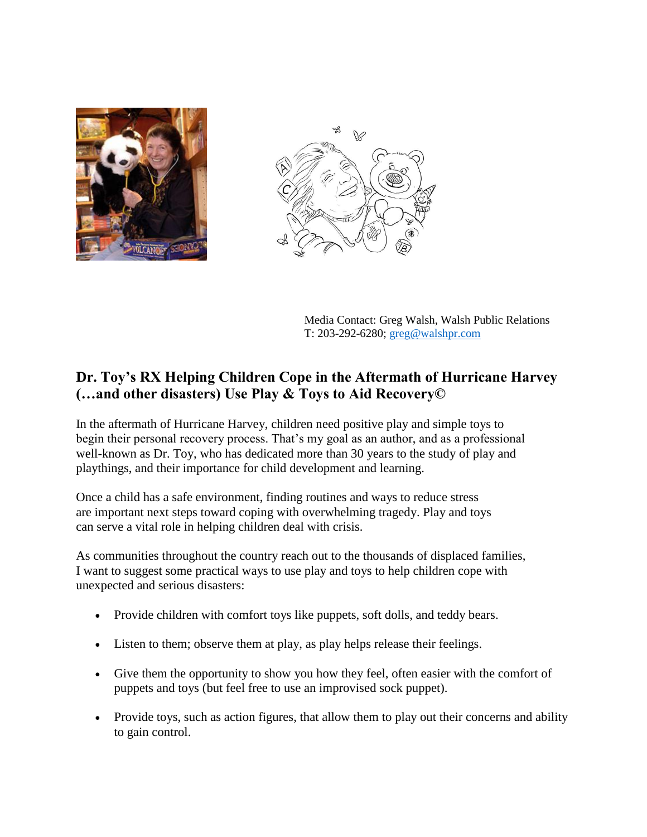



Media Contact: Greg Walsh, Walsh Public Relations T: 203-292-6280; [greg@walshpr.com](mailto:greg@walshpr.com)

## **Dr. Toy's RX Helping Children Cope in the Aftermath of Hurricane Harvey (…and other disasters) Use Play & Toys to Aid Recovery©**

In the aftermath of Hurricane Harvey, children need positive play and simple toys to begin their personal recovery process. That's my goal as an author, and as a professional well-known as Dr. Toy, who has dedicated more than 30 years to the study of play and playthings, and their importance for child development and learning.

Once a child has a safe environment, finding routines and ways to reduce stress are important next steps toward coping with overwhelming tragedy. Play and toys can serve a vital role in helping children deal with crisis.

As communities throughout the country reach out to the thousands of displaced families, I want to suggest some practical ways to use play and toys to help children cope with unexpected and serious disasters:

- Provide children with comfort toys like puppets, soft dolls, and teddy bears.
- Listen to them; observe them at play, as play helps release their feelings.
- Give them the opportunity to show you how they feel, often easier with the comfort of puppets and toys (but feel free to use an improvised sock puppet).
- Provide toys, such as action figures, that allow them to play out their concerns and ability to gain control.